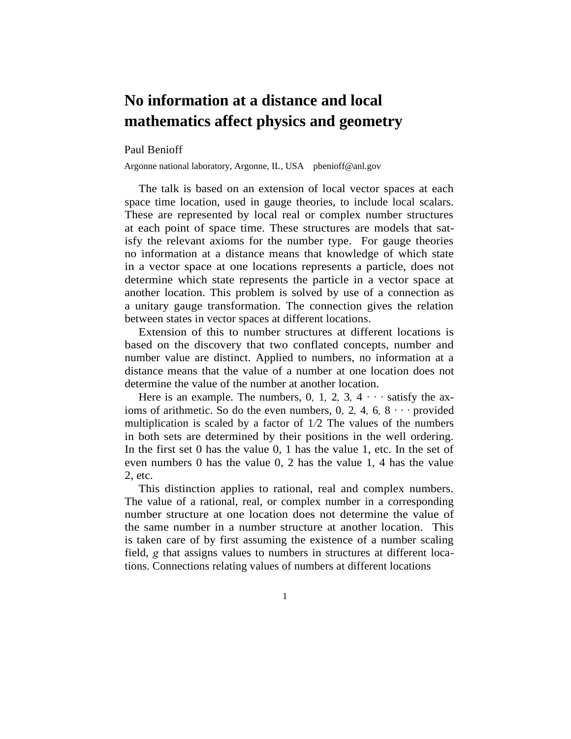## **No information at a distance and local mathematics affect physics and geometry**

## Paul Benioff

Argonne national laboratory, Argonne, IL, USA pbenioff@anl.gov

The talk is based on an extension of local vector spaces at each space time location, used in gauge theories, to include local scalars. These are represented by local real or complex number structures at each point of space time. These structures are models that satisfy the relevant axioms for the number type. For gauge theories no information at a distance means that knowledge of which state in a vector space at one locations represents a particle, does not determine which state represents the particle in a vector space at another location. This problem is solved by use of a connection as a unitary gauge transformation. The connection gives the relation between states in vector spaces at different locations.

Extension of this to number structures at different locations is based on the discovery that two conflated concepts, number and number value are distinct. Applied to numbers, no information at a distance means that the value of a number at one location does not determine the value of the number at another location.

Here is an example. The numbers, 0, 1, 2, 3,  $4 \cdot \cdot \cdot$  satisfy the axioms of arithmetic. So do the even numbers, 0*,* 2*,* 4*,* 6*,* 8 *· · ·* provided multiplication is scaled by a factor of 1*/*2 The values of the numbers in both sets are determined by their positions in the well ordering. In the first set 0 has the value 0, 1 has the value 1, etc. In the set of even numbers 0 has the value 0, 2 has the value 1, 4 has the value 2, etc.

This distinction applies to rational, real and complex numbers. The value of a rational, real, or complex number in a corresponding number structure at one location does not determine the value of the same number in a number structure at another location. This is taken care of by first assuming the existence of a number scaling field, *g* that assigns values to numbers in structures at different locations. Connections relating values of numbers at different locations